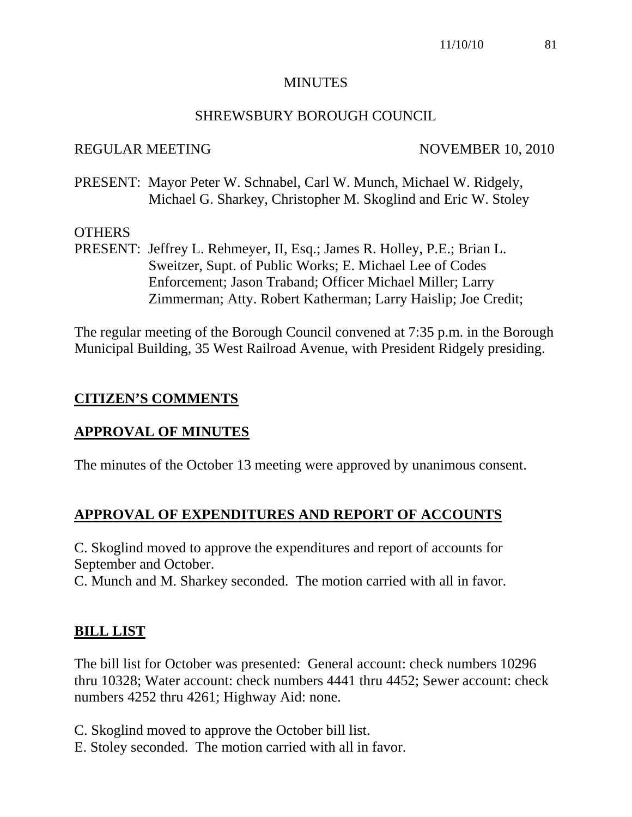### **MINUTES**

## SHREWSBURY BOROUGH COUNCIL

## REGULAR MEETING NOVEMBER 10, 2010

PRESENT: Mayor Peter W. Schnabel, Carl W. Munch, Michael W. Ridgely, Michael G. Sharkey, Christopher M. Skoglind and Eric W. Stoley

## **OTHERS**

PRESENT: Jeffrey L. Rehmeyer, II, Esq.; James R. Holley, P.E.; Brian L. Sweitzer, Supt. of Public Works; E. Michael Lee of Codes Enforcement; Jason Traband; Officer Michael Miller; Larry Zimmerman; Atty. Robert Katherman; Larry Haislip; Joe Credit;

The regular meeting of the Borough Council convened at 7:35 p.m. in the Borough Municipal Building, 35 West Railroad Avenue, with President Ridgely presiding.

## **CITIZEN'S COMMENTS**

## **APPROVAL OF MINUTES**

The minutes of the October 13 meeting were approved by unanimous consent.

# **APPROVAL OF EXPENDITURES AND REPORT OF ACCOUNTS**

C. Skoglind moved to approve the expenditures and report of accounts for September and October.

C. Munch and M. Sharkey seconded. The motion carried with all in favor.

## **BILL LIST**

The bill list for October was presented: General account: check numbers 10296 thru 10328; Water account: check numbers 4441 thru 4452; Sewer account: check numbers 4252 thru 4261; Highway Aid: none.

C. Skoglind moved to approve the October bill list.

E. Stoley seconded. The motion carried with all in favor.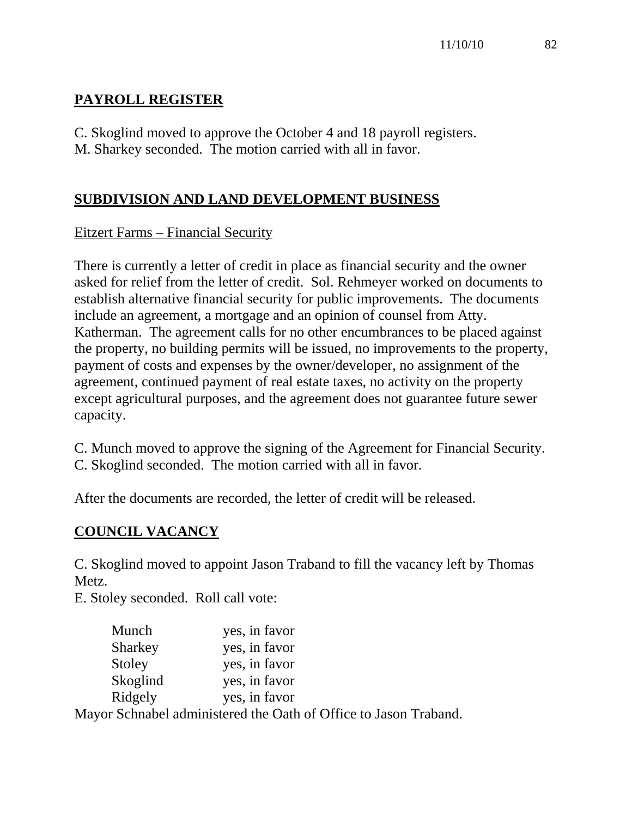# **PAYROLL REGISTER**

C. Skoglind moved to approve the October 4 and 18 payroll registers. M. Sharkey seconded. The motion carried with all in favor.

# **SUBDIVISION AND LAND DEVELOPMENT BUSINESS**

# Eitzert Farms – Financial Security

There is currently a letter of credit in place as financial security and the owner asked for relief from the letter of credit. Sol. Rehmeyer worked on documents to establish alternative financial security for public improvements. The documents include an agreement, a mortgage and an opinion of counsel from Atty. Katherman. The agreement calls for no other encumbrances to be placed against the property, no building permits will be issued, no improvements to the property, payment of costs and expenses by the owner/developer, no assignment of the agreement, continued payment of real estate taxes, no activity on the property except agricultural purposes, and the agreement does not guarantee future sewer capacity.

C. Munch moved to approve the signing of the Agreement for Financial Security. C. Skoglind seconded. The motion carried with all in favor.

After the documents are recorded, the letter of credit will be released.

# **COUNCIL VACANCY**

C. Skoglind moved to appoint Jason Traband to fill the vacancy left by Thomas Metz.

E. Stoley seconded. Roll call vote:

| Munch    | yes, in favor                                                   |
|----------|-----------------------------------------------------------------|
| Sharkey  | yes, in favor                                                   |
| Stoley   | yes, in favor                                                   |
| Skoglind | yes, in favor                                                   |
| Ridgely  | yes, in favor                                                   |
|          | Moyer Schooled edministered the Oeth of Office to Jacon Trebend |

Mayor Schnabel administered the Oath of Office to Jason Traband.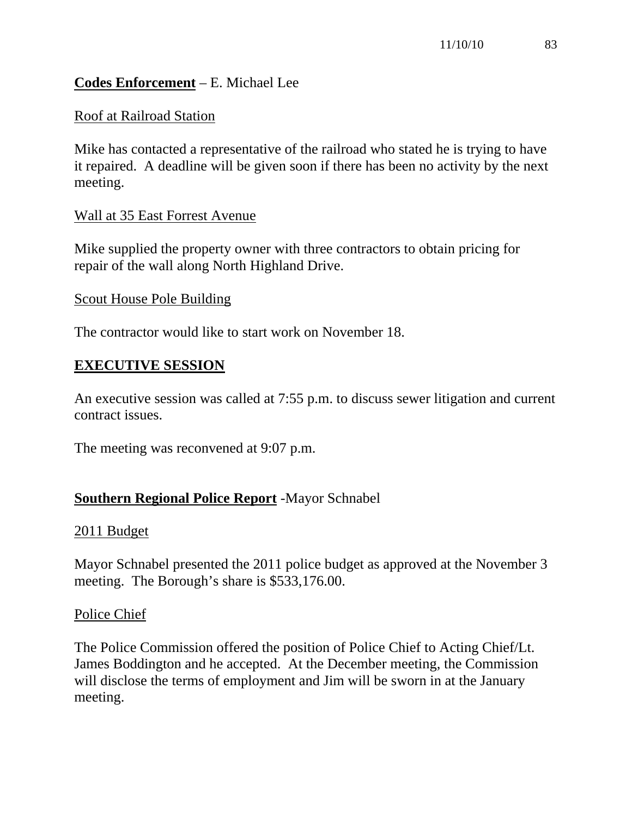## **Codes Enforcement** – E. Michael Lee

### Roof at Railroad Station

Mike has contacted a representative of the railroad who stated he is trying to have it repaired. A deadline will be given soon if there has been no activity by the next meeting.

### Wall at 35 East Forrest Avenue

Mike supplied the property owner with three contractors to obtain pricing for repair of the wall along North Highland Drive.

#### Scout House Pole Building

The contractor would like to start work on November 18.

### **EXECUTIVE SESSION**

An executive session was called at 7:55 p.m. to discuss sewer litigation and current contract issues.

The meeting was reconvened at 9:07 p.m.

## **Southern Regional Police Report** -Mayor Schnabel

#### 2011 Budget

Mayor Schnabel presented the 2011 police budget as approved at the November 3 meeting. The Borough's share is \$533,176.00.

#### Police Chief

The Police Commission offered the position of Police Chief to Acting Chief/Lt. James Boddington and he accepted. At the December meeting, the Commission will disclose the terms of employment and Jim will be sworn in at the January meeting.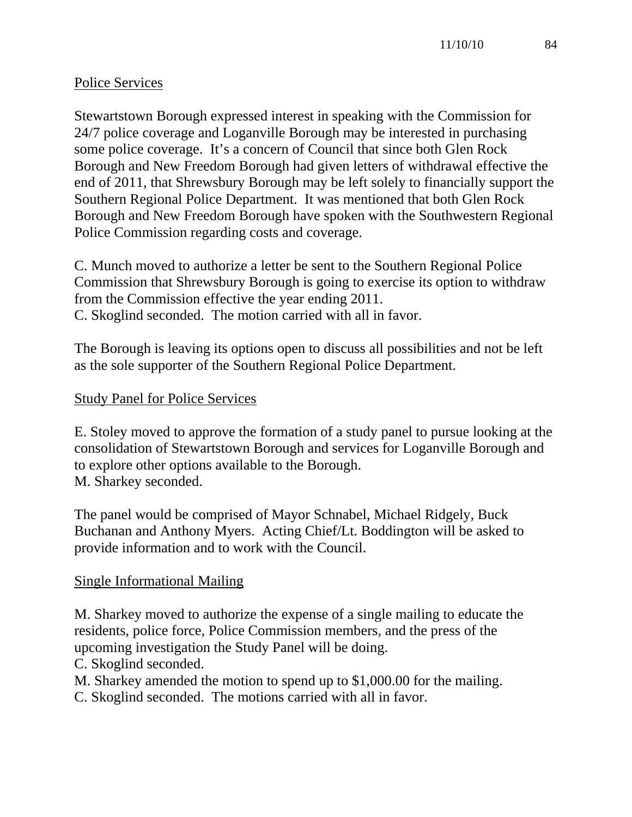## Police Services

Stewartstown Borough expressed interest in speaking with the Commission for 24/7 police coverage and Loganville Borough may be interested in purchasing some police coverage. It's a concern of Council that since both Glen Rock Borough and New Freedom Borough had given letters of withdrawal effective the end of 2011, that Shrewsbury Borough may be left solely to financially support the Southern Regional Police Department. It was mentioned that both Glen Rock Borough and New Freedom Borough have spoken with the Southwestern Regional Police Commission regarding costs and coverage.

C. Munch moved to authorize a letter be sent to the Southern Regional Police Commission that Shrewsbury Borough is going to exercise its option to withdraw from the Commission effective the year ending 2011. C. Skoglind seconded. The motion carried with all in favor.

The Borough is leaving its options open to discuss all possibilities and not be left as the sole supporter of the Southern Regional Police Department.

## Study Panel for Police Services

E. Stoley moved to approve the formation of a study panel to pursue looking at the consolidation of Stewartstown Borough and services for Loganville Borough and to explore other options available to the Borough. M. Sharkey seconded.

The panel would be comprised of Mayor Schnabel, Michael Ridgely, Buck Buchanan and Anthony Myers. Acting Chief/Lt. Boddington will be asked to provide information and to work with the Council.

## Single Informational Mailing

M. Sharkey moved to authorize the expense of a single mailing to educate the residents, police force, Police Commission members, and the press of the upcoming investigation the Study Panel will be doing.

C. Skoglind seconded.

M. Sharkey amended the motion to spend up to \$1,000.00 for the mailing.

C. Skoglind seconded. The motions carried with all in favor.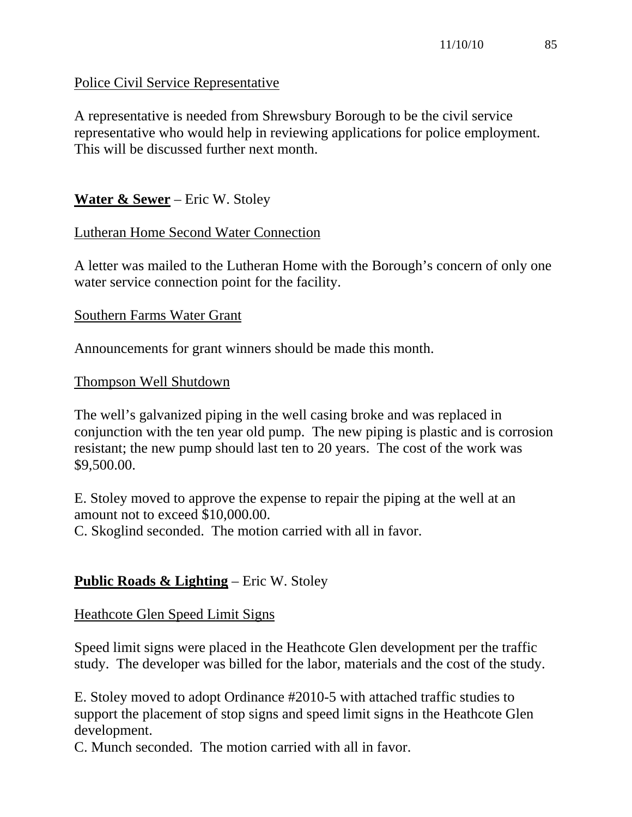## Police Civil Service Representative

A representative is needed from Shrewsbury Borough to be the civil service representative who would help in reviewing applications for police employment. This will be discussed further next month.

## **Water & Sewer** – Eric W. Stoley

### Lutheran Home Second Water Connection

A letter was mailed to the Lutheran Home with the Borough's concern of only one water service connection point for the facility.

#### Southern Farms Water Grant

Announcements for grant winners should be made this month.

#### Thompson Well Shutdown

The well's galvanized piping in the well casing broke and was replaced in conjunction with the ten year old pump. The new piping is plastic and is corrosion resistant; the new pump should last ten to 20 years. The cost of the work was \$9,500.00.

E. Stoley moved to approve the expense to repair the piping at the well at an amount not to exceed \$10,000.00.

C. Skoglind seconded. The motion carried with all in favor.

## **Public Roads & Lighting** – Eric W. Stoley

#### Heathcote Glen Speed Limit Signs

Speed limit signs were placed in the Heathcote Glen development per the traffic study. The developer was billed for the labor, materials and the cost of the study.

E. Stoley moved to adopt Ordinance #2010-5 with attached traffic studies to support the placement of stop signs and speed limit signs in the Heathcote Glen development.

C. Munch seconded. The motion carried with all in favor.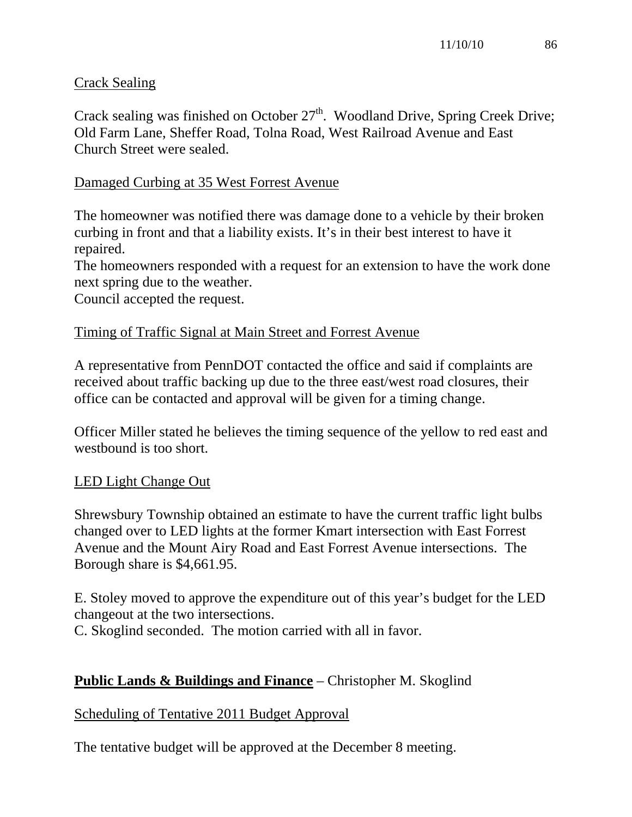## Crack Sealing

Crack sealing was finished on October  $27<sup>th</sup>$ . Woodland Drive, Spring Creek Drive; Old Farm Lane, Sheffer Road, Tolna Road, West Railroad Avenue and East Church Street were sealed.

## Damaged Curbing at 35 West Forrest Avenue

The homeowner was notified there was damage done to a vehicle by their broken curbing in front and that a liability exists. It's in their best interest to have it repaired.

The homeowners responded with a request for an extension to have the work done next spring due to the weather.

Council accepted the request.

## Timing of Traffic Signal at Main Street and Forrest Avenue

A representative from PennDOT contacted the office and said if complaints are received about traffic backing up due to the three east/west road closures, their office can be contacted and approval will be given for a timing change.

Officer Miller stated he believes the timing sequence of the yellow to red east and westbound is too short.

# LED Light Change Out

Shrewsbury Township obtained an estimate to have the current traffic light bulbs changed over to LED lights at the former Kmart intersection with East Forrest Avenue and the Mount Airy Road and East Forrest Avenue intersections. The Borough share is \$4,661.95.

E. Stoley moved to approve the expenditure out of this year's budget for the LED changeout at the two intersections.

C. Skoglind seconded. The motion carried with all in favor.

# **Public Lands & Buildings and Finance** – Christopher M. Skoglind

## Scheduling of Tentative 2011 Budget Approval

The tentative budget will be approved at the December 8 meeting.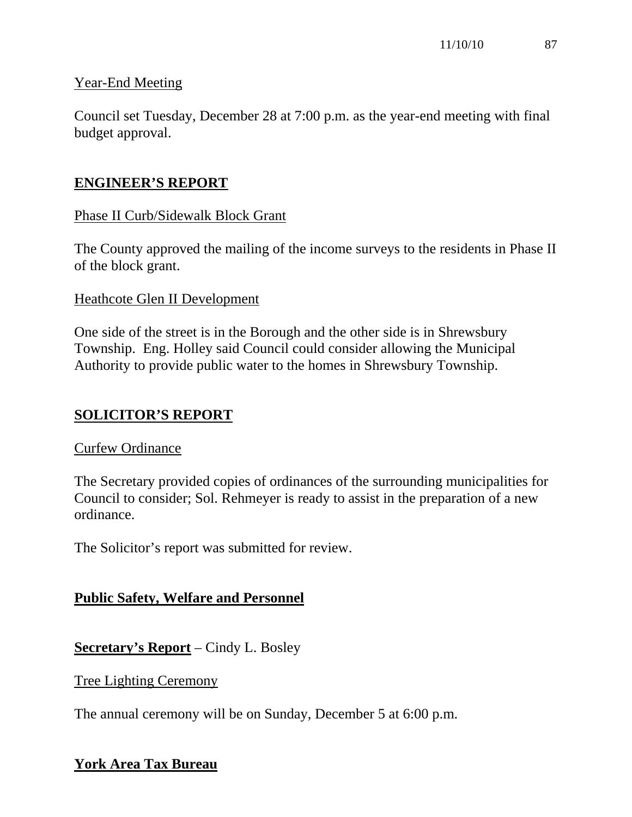## Year-End Meeting

Council set Tuesday, December 28 at 7:00 p.m. as the year-end meeting with final budget approval.

# **ENGINEER'S REPORT**

## Phase II Curb/Sidewalk Block Grant

The County approved the mailing of the income surveys to the residents in Phase II of the block grant.

## Heathcote Glen II Development

One side of the street is in the Borough and the other side is in Shrewsbury Township. Eng. Holley said Council could consider allowing the Municipal Authority to provide public water to the homes in Shrewsbury Township.

# **SOLICITOR'S REPORT**

## Curfew Ordinance

The Secretary provided copies of ordinances of the surrounding municipalities for Council to consider; Sol. Rehmeyer is ready to assist in the preparation of a new ordinance.

The Solicitor's report was submitted for review.

# **Public Safety, Welfare and Personnel**

**Secretary's Report** – Cindy L. Bosley

Tree Lighting Ceremony

The annual ceremony will be on Sunday, December 5 at 6:00 p.m.

# **York Area Tax Bureau**